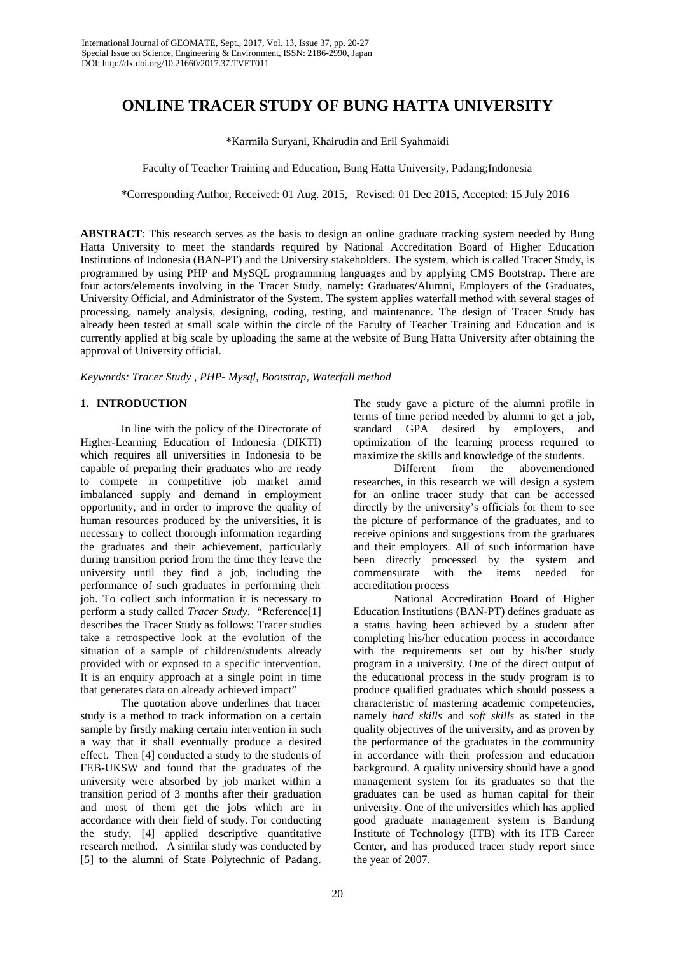# **ONLINE TRACER STUDY OF BUNG HATTA UNIVERSITY**

\*Karmila Suryani, Khairudin and Eril Syahmaidi

Faculty of Teacher Training and Education, Bung Hatta University, Padang;Indonesia

\*Corresponding Author, Received: 01 Aug. 2015, Revised: 01 Dec 2015, Accepted: 15 July 2016

**ABSTRACT**: This research serves as the basis to design an online graduate tracking system needed by Bung Hatta University to meet the standards required by National Accreditation Board of Higher Education Institutions of Indonesia (BAN-PT) and the University stakeholders. The system, which is called Tracer Study, is programmed by using PHP and MySQL programming languages and by applying CMS Bootstrap. There are four actors/elements involving in the Tracer Study, namely: Graduates/Alumni, Employers of the Graduates, University Official, and Administrator of the System. The system applies waterfall method with several stages of processing, namely analysis, designing, coding, testing, and maintenance. The design of Tracer Study has already been tested at small scale within the circle of the Faculty of Teacher Training and Education and is currently applied at big scale by uploading the same at the website of Bung Hatta University after obtaining the approval of University official.

## *Keywords: Tracer Study , PHP- Mysql, Bootstrap, Waterfall method*

## **1. INTRODUCTION**

In line with the policy of the Directorate of Higher-Learning Education of Indonesia (DIKTI) which requires all universities in Indonesia to be capable of preparing their graduates who are ready to compete in competitive job market amid imbalanced supply and demand in employment opportunity, and in order to improve the quality of human resources produced by the universities, it is necessary to collect thorough information regarding the graduates and their achievement, particularly during transition period from the time they leave the university until they find a job, including the performance of such graduates in performing their job. To collect such information it is necessary to perform a study called *Tracer Study*. "Reference[1] describes the Tracer Study as follows: Tracer studies take a retrospective look at the evolution of the situation of a sample of children/students already provided with or exposed to a specific intervention. It is an enquiry approach at a single point in time that generates data on already achieved impact"

The quotation above underlines that tracer study is a method to track information on a certain sample by firstly making certain intervention in such a way that it shall eventually produce a desired effect. Then [4] conducted a study to the students of FEB-UKSW and found that the graduates of the university were absorbed by job market within a transition period of 3 months after their graduation and most of them get the jobs which are in accordance with their field of study. For conducting the study, [4] applied descriptive quantitative research method. A similar study was conducted by [5] to the alumni of State Polytechnic of Padang. The study gave a picture of the alumni profile in terms of time period needed by alumni to get a job, standard GPA desired by employers, and optimization of the learning process required to maximize the skills and knowledge of the students.

Different from the abovementioned researches, in this research we will design a system for an online tracer study that can be accessed directly by the university's officials for them to see the picture of performance of the graduates, and to receive opinions and suggestions from the graduates and their employers. All of such information have been directly processed by the system and commensurate with the items needed for accreditation process

National Accreditation Board of Higher Education Institutions (BAN-PT) defines graduate as a status having been achieved by a student after completing his/her education process in accordance with the requirements set out by his/her study program in a university. One of the direct output of the educational process in the study program is to produce qualified graduates which should possess a characteristic of mastering academic competencies, namely *hard skills* and *soft skills* as stated in the quality objectives of the university, and as proven by the performance of the graduates in the community in accordance with their profession and education background. A quality university should have a good management system for its graduates so that the graduates can be used as human capital for their university. One of the universities which has applied good graduate management system is Bandung Institute of Technology (ITB) with its ITB Career Center, and has produced tracer study report since the year of 2007.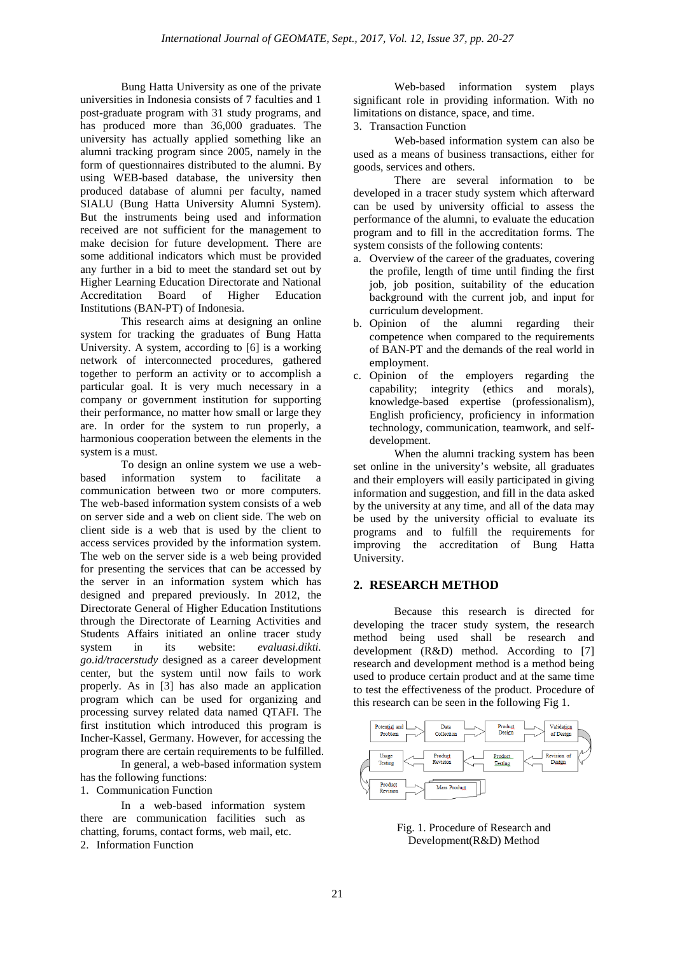Bung Hatta University as one of the private universities in Indonesia consists of 7 faculties and 1 post-graduate program with 31 study programs, and has produced more than 36,000 graduates. The university has actually applied something like an alumni tracking program since 2005, namely in the form of questionnaires distributed to the alumni. By using WEB-based database, the university then produced database of alumni per faculty, named SIALU (Bung Hatta University Alumni System). But the instruments being used and information received are not sufficient for the management to make decision for future development. There are some additional indicators which must be provided any further in a bid to meet the standard set out by Higher Learning Education Directorate and National<br>Accreditation Board of Higher Education Accreditation Board of Higher Education Institutions (BAN-PT) of Indonesia.

This research aims at designing an online system for tracking the graduates of Bung Hatta University. A system, according to [6] is a working network of interconnected procedures, gathered together to perform an activity or to accomplish a particular goal. It is very much necessary in a company or government institution for supporting their performance, no matter how small or large they are. In order for the system to run properly, a harmonious cooperation between the elements in the system is a must.

To design an online system we use a webbased information system to facilitate a communication between two or more computers. The web-based information system consists of a web on server side and a web on client side. The web on client side is a web that is used by the client to access services provided by the information system. The web on the server side is a web being provided for presenting the services that can be accessed by the server in an information system which has designed and prepared previously. In 2012, the Directorate General of Higher Education Institutions through the Directorate of Learning Activities and Students Affairs initiated an online tracer study system in its website: *evaluasi.dikti. go.id/tracerstudy* designed as a career development center, but the system until now fails to work properly. As in [3] has also made an application program which can be used for organizing and processing survey related data named QTAFI. The first institution which introduced this program is Incher-Kassel, Germany. However, for accessing the program there are certain requirements to be fulfilled. In general, a web-based information system

has the following functions:

1. Communication Function

In a web-based information system there are communication facilities such as chatting, forums, contact forms, web mail, etc. 2. Information Function

Web-based information system plays significant role in providing information. With no limitations on distance, space, and time.

3. Transaction Function

Web-based information system can also be used as a means of business transactions, either for goods, services and others.

There are several information to be developed in a tracer study system which afterward can be used by university official to assess the performance of the alumni, to evaluate the education program and to fill in the accreditation forms. The system consists of the following contents:

- a. Overview of the career of the graduates, covering the profile, length of time until finding the first job, job position, suitability of the education background with the current job, and input for curriculum development.
- b. Opinion of the alumni regarding their competence when compared to the requirements of BAN-PT and the demands of the real world in employment.
- c. Opinion of the employers regarding the capability; integrity (ethics and morals), knowledge-based expertise (professionalism), English proficiency, proficiency in information technology, communication, teamwork, and selfdevelopment.

When the alumni tracking system has been set online in the university's website, all graduates and their employers will easily participated in giving information and suggestion, and fill in the data asked by the university at any time, and all of the data may be used by the university official to evaluate its programs and to fulfill the requirements for improving the accreditation of Bung Hatta University.

## **2. RESEARCH METHOD**

Because this research is directed for developing the tracer study system, the research method being used shall be research and development (R&D) method. According to [7] research and development method is a method being used to produce certain product and at the same time to test the effectiveness of the product. Procedure of this research can be seen in the following Fig 1.



Fig. 1. Procedure of Research and Development(R&D) Method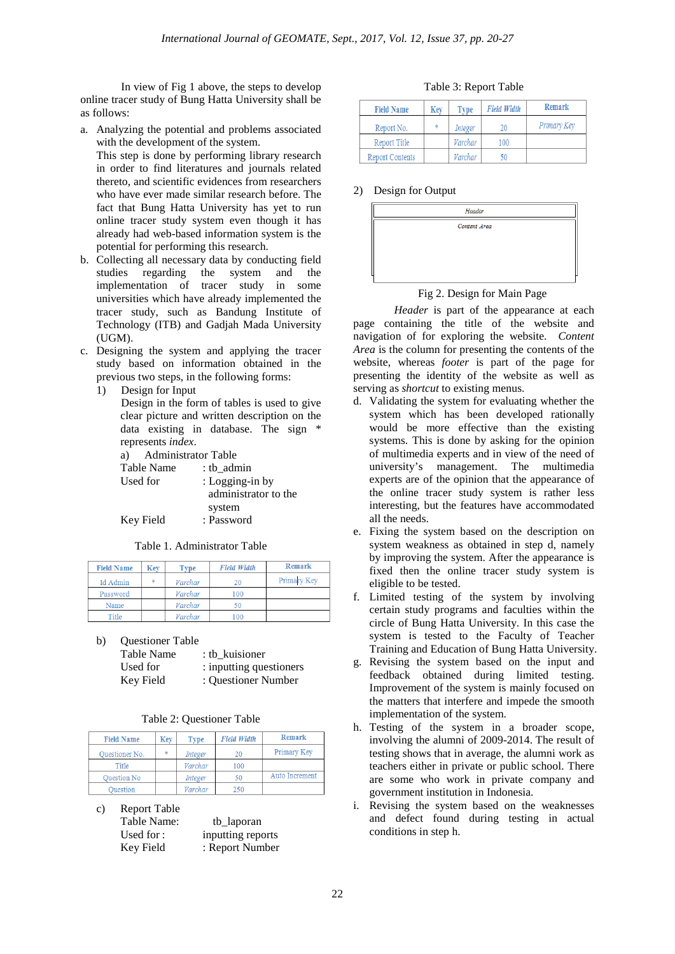In view of Fig 1 above, the steps to develop online tracer study of Bung Hatta University shall be as follows:

a. Analyzing the potential and problems associated with the development of the system.

This step is done by performing library research in order to find literatures and journals related thereto, and scientific evidences from researchers who have ever made similar research before. The fact that Bung Hatta University has yet to run online tracer study system even though it has already had web-based information system is the potential for performing this research.

- b. Collecting all necessary data by conducting field studies regarding the system and the implementation of tracer study in some universities which have already implemented the tracer study, such as Bandung Institute of Technology (ITB) and Gadjah Mada University (UGM).
- c. Designing the system and applying the tracer study based on information obtained in the previous two steps, in the following forms:
	- 1) Design for Input

Design in the form of tables is used to give clear picture and written description on the data existing in database. The sign \* represents *index*.

a) Administrator Table Table Name : tb\_admin<br>Used for : Logging-i : Logging-in by administrator to the

 system Key Field : Password

Table 1. Administrator Table

| <b>Field Name</b> | Key | Type    | <b>Field Width</b> | Remark      |
|-------------------|-----|---------|--------------------|-------------|
| Id Admin          | *   | Varchar | 20                 | Primary Key |
| Password          |     | Varchar | 100                |             |
| Name              |     | Varchar | 50                 |             |
| Title             |     | Varchar | 100                |             |

b) Questioner Table

| Table Name | : tb kuisioner          |
|------------|-------------------------|
| Used for   | : inputting questioners |
| Key Field  | : Questioner Number     |

|  | Table 2: Questioner Table |  |
|--|---------------------------|--|
|--|---------------------------|--|

| <b>Field Name</b>  | Key    | Type    | <b>Field Width</b> | Remark         |
|--------------------|--------|---------|--------------------|----------------|
| Questioner No.     | $\ast$ | Integer | 20                 | Primary Key    |
| Title              |        | Varchar | 100                |                |
| <b>Ouestion No</b> |        | Integer | 50                 | Auto Increment |
| <b>Duestion</b>    |        | Varchar | 250                |                |

c) Report Table

| Table Name: | tb_laporan        |
|-------------|-------------------|
| Used for:   | inputting reports |
| Key Field   | : Report Number   |

| <b>Field Name</b>      | Kev | Tvpe    | <b>Field Width</b> | Remark      |
|------------------------|-----|---------|--------------------|-------------|
| Report No.             | ×   | Integer | 20                 | Primary Key |
| Report Title           |     | Varchar | 100                |             |
| <b>Report Contents</b> |     | Varchar |                    |             |

# 2) Design for Output



# Fig 2. Design for Main Page

*Header* is part of the appearance at each page containing the title of the website and navigation of for exploring the website. *Content Area* is the column for presenting the contents of the website, whereas *footer* is part of the page for presenting the identity of the website as well as serving as *shortcut* to existing menus.

- d. Validating the system for evaluating whether the system which has been developed rationally would be more effective than the existing systems. This is done by asking for the opinion of multimedia experts and in view of the need of university's management. The multimedia experts are of the opinion that the appearance of the online tracer study system is rather less interesting, but the features have accommodated all the needs.
- e. Fixing the system based on the description on system weakness as obtained in step d, namely by improving the system. After the appearance is fixed then the online tracer study system is eligible to be tested.
- f. Limited testing of the system by involving certain study programs and faculties within the circle of Bung Hatta University. In this case the system is tested to the Faculty of Teacher Training and Education of Bung Hatta University.
- g. Revising the system based on the input and feedback obtained during limited testing. Improvement of the system is mainly focused on the matters that interfere and impede the smooth implementation of the system.
- h. Testing of the system in a broader scope, involving the alumni of 2009-2014. The result of testing shows that in average, the alumni work as teachers either in private or public school. There are some who work in private company and government institution in Indonesia.
- i. Revising the system based on the weaknesses and defect found during testing in actual conditions in step h.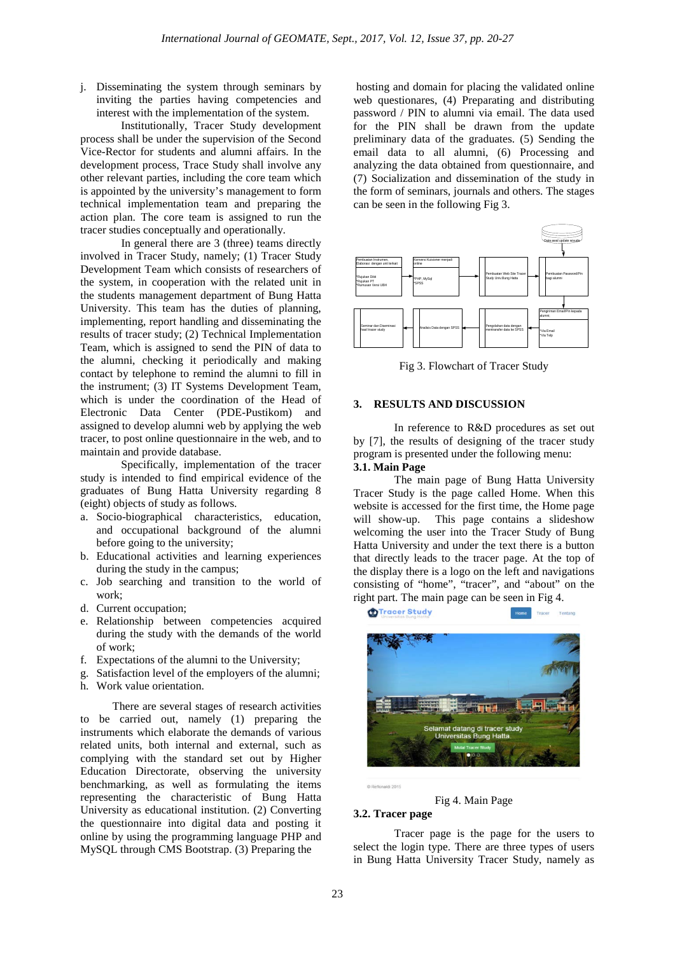j. Disseminating the system through seminars by inviting the parties having competencies and interest with the implementation of the system.

Institutionally, Tracer Study development process shall be under the supervision of the Second Vice-Rector for students and alumni affairs. In the development process, Trace Study shall involve any other relevant parties, including the core team which is appointed by the university's management to form technical implementation team and preparing the action plan. The core team is assigned to run the tracer studies conceptually and operationally.

In general there are 3 (three) teams directly involved in Tracer Study, namely; (1) Tracer Study Development Team which consists of researchers of the system, in cooperation with the related unit in the students management department of Bung Hatta University. This team has the duties of planning, implementing, report handling and disseminating the results of tracer study; (2) Technical Implementation Team, which is assigned to send the PIN of data to the alumni, checking it periodically and making contact by telephone to remind the alumni to fill in the instrument; (3) IT Systems Development Team, which is under the coordination of the Head of Electronic Data Center (PDE-Pustikom) and assigned to develop alumni web by applying the web tracer, to post online questionnaire in the web, and to maintain and provide database.

Specifically, implementation of the tracer study is intended to find empirical evidence of the graduates of Bung Hatta University regarding 8 (eight) objects of study as follows.

- a. Socio-biographical characteristics, education, and occupational background of the alumni before going to the university;
- b. Educational activities and learning experiences during the study in the campus;
- c. Job searching and transition to the world of work;
- d. Current occupation;
- e. Relationship between competencies acquired during the study with the demands of the world of work;
- f. Expectations of the alumni to the University;
- g. Satisfaction level of the employers of the alumni;
- h. Work value orientation.

There are several stages of research activities to be carried out, namely (1) preparing the instruments which elaborate the demands of various related units, both internal and external, such as complying with the standard set out by Higher Education Directorate, observing the university benchmarking, as well as formulating the items representing the characteristic of Bung Hatta University as educational institution. (2) Converting the questionnaire into digital data and posting it online by using the programming language PHP and MySQL through CMS Bootstrap. (3) Preparing the

hosting and domain for placing the validated online web questionares, (4) Preparating and distributing password / PIN to alumni via email. The data used for the PIN shall be drawn from the update preliminary data of the graduates. (5) Sending the email data to all alumni, (6) Processing and analyzing the data obtained from questionnaire, and (7) Socialization and dissemination of the study in the form of seminars, journals and others. The stages can be seen in the following Fig 3.



Fig 3. Flowchart of Tracer Study

#### **3. RESULTS AND DISCUSSION**

In reference to R&D procedures as set out by [7], the results of designing of the tracer study program is presented under the following menu: **3.1. Main Page**

The main page of Bung Hatta University Tracer Study is the page called Home. When this website is accessed for the first time, the Home page will show-up. This page contains a slideshow welcoming the user into the Tracer Study of Bung Hatta University and under the text there is a button that directly leads to the tracer page. At the top of the display there is a logo on the left and navigations consisting of "home", "tracer", and "about" on the right part. The main page can be seen in Fig 4.



C Refkinaldi 2015

Fig 4. Main Page

#### **3.2. Tracer page**

Tracer page is the page for the users to select the login type. There are three types of users in Bung Hatta University Tracer Study, namely as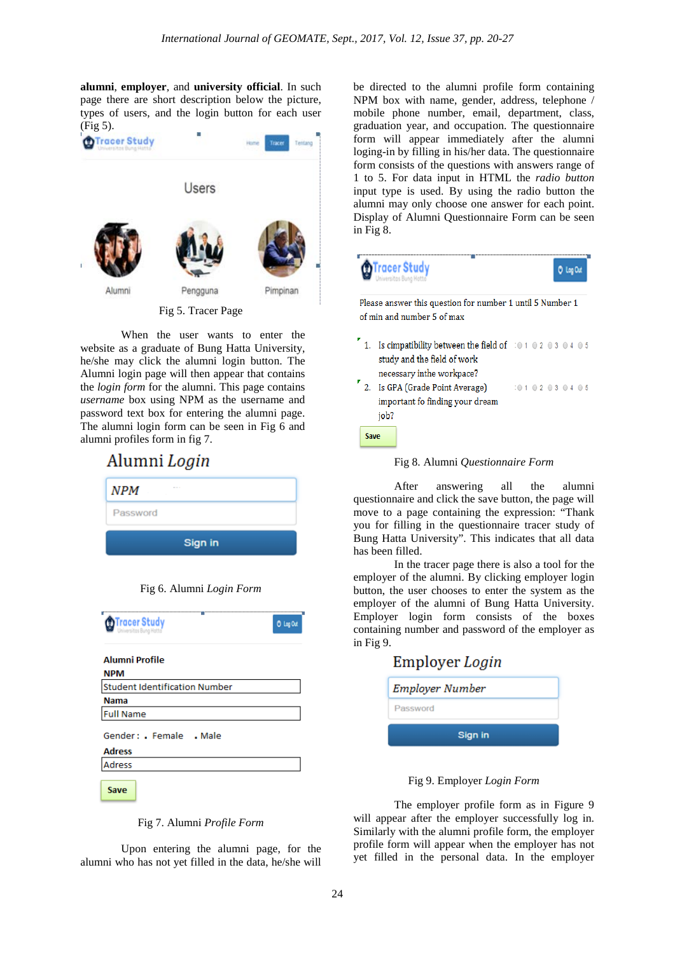**alumni**, **employer**, and **university official**. In such page there are short description below the picture, types of users, and the login button for each user (Fig 5).



Fig 5. Tracer Page

When the user wants to enter the website as a graduate of Bung Hatta University, he/she may click the alumni login button. The Alumni login page will then appear that contains the *login form* for the alumni. This page contains *username* box using NPM as the username and password text box for entering the alumni page. The alumni login form can be seen in Fig 6 and alumni profiles form in fig 7.



|  | Fig 6. Alumni Login Form |  |  |
|--|--------------------------|--|--|
|--|--------------------------|--|--|

| <b>D</b> Tracer Study<br>Iniversitas Bung Hatto | O Log Out |
|-------------------------------------------------|-----------|
| Alumni Profile<br>NPM                           |           |
| <b>Student Identification Number</b>            |           |
| <b>Nama</b>                                     |           |
| <b>Full Name</b>                                |           |
| Gender: Female Male<br><b>Adress</b>            |           |
| Adress                                          |           |
| Save                                            |           |

Fig 7. Alumni *Profile Form*

Upon entering the alumni page, for the alumni who has not yet filled in the data, he/she will be directed to the alumni profile form containing NPM box with name, gender, address, telephone / mobile phone number, email, department, class, graduation year, and occupation. The questionnaire form will appear immediately after the alumni loging-in by filling in his/her data. The questionnaire form consists of the questions with answers range of 1 to 5. For data input in HTML the *radio button*  input type is used. By using the radio button the alumni may only choose one answer for each point. Display of Alumni Questionnaire Form can be seen in Fig 8.



Fig 8. Alumni *Questionnaire Form*

After answering all the alumni questionnaire and click the save button, the page will move to a page containing the expression: "Thank you for filling in the questionnaire tracer study of Bung Hatta University". This indicates that all data has been filled.

In the tracer page there is also a tool for the employer of the alumni. By clicking employer login button, the user chooses to enter the system as the employer of the alumni of Bung Hatta University. Employer login form consists of the boxes containing number and password of the employer as in Fig 9.

| Employer Login         |
|------------------------|
| <b>Employer Number</b> |
| Password               |
| Sign in                |

Fig 9. Employer *Login Form* 

The employer profile form as in Figure 9 will appear after the employer successfully log in. Similarly with the alumni profile form, the employer profile form will appear when the employer has not yet filled in the personal data. In the employer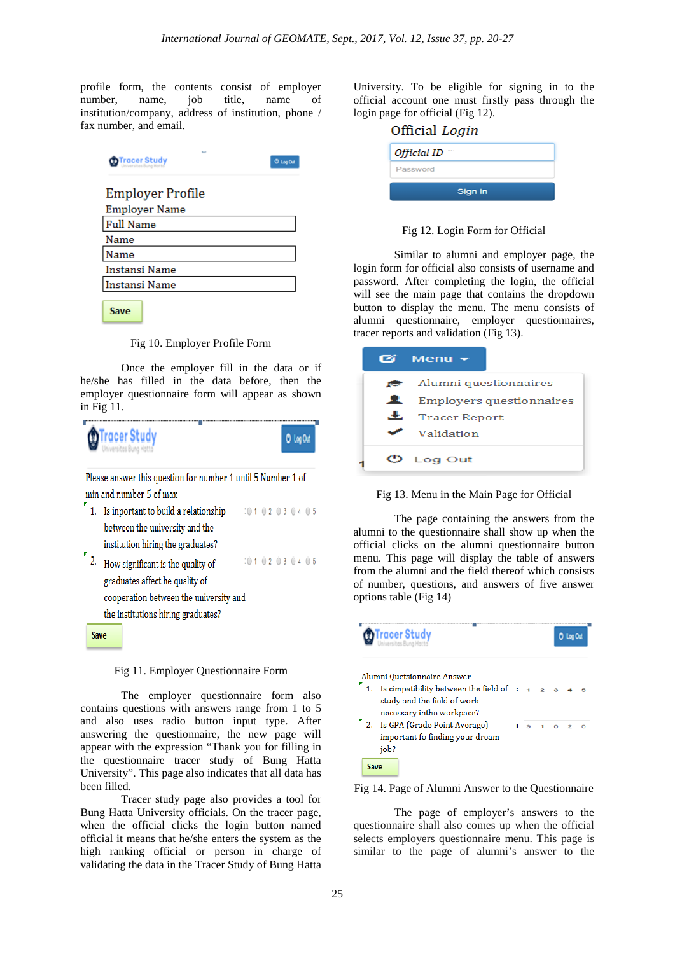profile form, the contents consist of employer number, name, job title, name of institution/company, address of institution, phone / fax number, and email.

| <b>D</b> Tracer Study | <b>O</b> Log Out |
|-----------------------|------------------|
| Employer Profile      |                  |
| <b>Employer Name</b>  |                  |
| <b>Full Name</b>      |                  |
| Name                  |                  |
| Vame                  |                  |
| Instansi Name         |                  |
| Instansi Name         |                  |
|                       |                  |

Save

Fig 10. Employer Profile Form

Once the employer fill in the data or if he/she has filled in the data before, then the employer questionnaire form will appear as shown in Fig 11.

| <b>D</b> Tracer Study |   |  |  |      |  |  |
|-----------------------|---|--|--|------|--|--|
|                       | _ |  |  | ____ |  |  |

Please answer this question for number 1 until 5 Number 1 of min and number 5 of max

- 1. Is inportant to build a relationship  $:0102030405$ between the university and the institution hiring the graduates?
- $\frac{1}{2}$ . How significant is the quality of  $: 0 1 0 2 0 3 0 4 0 5$ graduates affect he quality of cooperation between the university and the institutions hiring graduates?

#### Fig 11. Employer Questionnaire Form

The employer questionnaire form also contains questions with answers range from 1 to 5 and also uses radio button input type. After answering the questionnaire, the new page will appear with the expression "Thank you for filling in the questionnaire tracer study of Bung Hatta University". This page also indicates that all data has been filled.

Tracer study page also provides a tool for Bung Hatta University officials. On the tracer page, when the official clicks the login button named official it means that he/she enters the system as the high ranking official or person in charge of validating the data in the Tracer Study of Bung Hatta University. To be eligible for signing in to the official account one must firstly pass through the login page for official (Fig 12).

| Official Login |  |  |  |  |
|----------------|--|--|--|--|
| Official ID    |  |  |  |  |
| Password       |  |  |  |  |
| Sign in        |  |  |  |  |

Fig 12. Login Form for Official

Similar to alumni and employer page, the login form for official also consists of username and password. After completing the login, the official will see the main page that contains the dropdown button to display the menu. The menu consists of alumni questionnaire, employer questionnaires, tracer reports and validation (Fig 13).

|    | $Menu -$                        |  |  |  |
|----|---------------------------------|--|--|--|
|    | $\bullet$ Alumni questionnaires |  |  |  |
| ᆇ  | Employers questionnaires        |  |  |  |
| æ. | <b>Tracer Report</b>            |  |  |  |
|    | Validation                      |  |  |  |
|    | Log Out                         |  |  |  |



The page containing the answers from the alumni to the questionnaire shall show up when the official clicks on the alumni questionnaire button menu. This page will display the table of answers from the alumni and the field thereof which consists of number, questions, and answers of five answer options table (Fig 14)



Fig 14. Page of Alumni Answer to the Questionnaire

The page of employer's answers to the questionnaire shall also comes up when the official selects employers questionnaire menu. This page is similar to the page of alumni's answer to the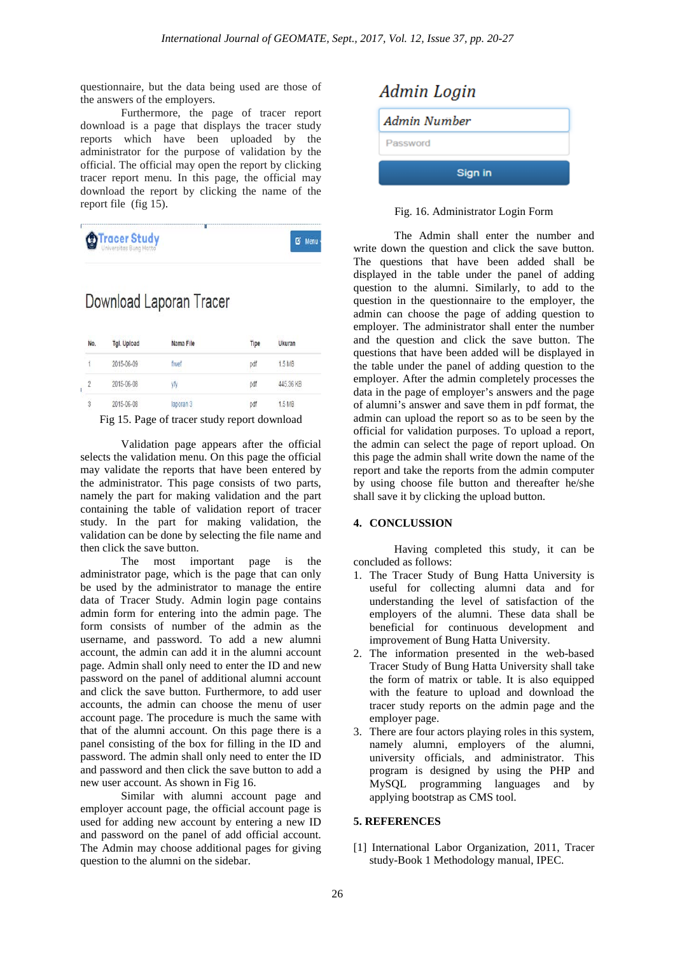questionnaire, but the data being used are those of the answers of the employers.

Furthermore, the page of tracer report download is a page that displays the tracer study reports which have been uploaded by the administrator for the purpose of validation by the official. The official may open the report by clicking tracer report menu. In this page, the official may download the report by clicking the name of the report file (fig 15).

| <b>Tracer Study</b> | <b>EX Menu</b> |
|---------------------|----------------|
|                     |                |

# Download Laporan Tracer

| No.            | Tgl. Upload | Nama File | Tipe      | Ukuran    |  |
|----------------|-------------|-----------|-----------|-----------|--|
|                | 2015-06-09  | fiwef     | pdf       | 1.5 MB    |  |
| $\overline{2}$ | 2015-06-08  | yfy       | pdf       | 445.36 KB |  |
| $\overline{3}$ | 2015-06-08  | laporan 3 | pdf       | 1.5 MB    |  |
|                | ---         | $\sim$    | $\bullet$ | . .       |  |

Fig 15. Page of tracer study report download

Validation page appears after the official selects the validation menu. On this page the official may validate the reports that have been entered by the administrator. This page consists of two parts, namely the part for making validation and the part containing the table of validation report of tracer study. In the part for making validation, the validation can be done by selecting the file name and then click the save button.<br>The most in

important page is the administrator page, which is the page that can only be used by the administrator to manage the entire data of Tracer Study. Admin login page contains admin form for entering into the admin page. The form consists of number of the admin as the username, and password. To add a new alumni account, the admin can add it in the alumni account page. Admin shall only need to enter the ID and new password on the panel of additional alumni account and click the save button. Furthermore, to add user accounts, the admin can choose the menu of user account page. The procedure is much the same with that of the alumni account. On this page there is a panel consisting of the box for filling in the ID and password. The admin shall only need to enter the ID and password and then click the save button to add a new user account. As shown in Fig 16.

Similar with alumni account page and employer account page, the official account page is used for adding new account by entering a new ID and password on the panel of add official account. The Admin may choose additional pages for giving question to the alumni on the sidebar.



Fig. 16. Administrator Login Form

The Admin shall enter the number and write down the question and click the save button. The questions that have been added shall be displayed in the table under the panel of adding question to the alumni. Similarly, to add to the question in the questionnaire to the employer, the admin can choose the page of adding question to employer. The administrator shall enter the number and the question and click the save button. The questions that have been added will be displayed in the table under the panel of adding question to the employer. After the admin completely processes the data in the page of employer's answers and the page of alumni's answer and save them in pdf format, the admin can upload the report so as to be seen by the official for validation purposes. To upload a report, the admin can select the page of report upload. On this page the admin shall write down the name of the report and take the reports from the admin computer by using choose file button and thereafter he/she shall save it by clicking the upload button.

#### **4. CONCLUSSION**

Having completed this study, it can be concluded as follows:

- 1. The Tracer Study of Bung Hatta University is useful for collecting alumni data and for understanding the level of satisfaction of the employers of the alumni. These data shall be beneficial for continuous development and improvement of Bung Hatta University.
- 2. The information presented in the web-based Tracer Study of Bung Hatta University shall take the form of matrix or table. It is also equipped with the feature to upload and download the tracer study reports on the admin page and the employer page.
- 3. There are four actors playing roles in this system, namely alumni, employers of the alumni, university officials, and administrator. This program is designed by using the PHP and MySQL programming languages and by applying bootstrap as CMS tool.

#### **5. REFERENCES**

[1] International Labor Organization, 2011, Tracer study-Book 1 Methodology manual, IPEC.